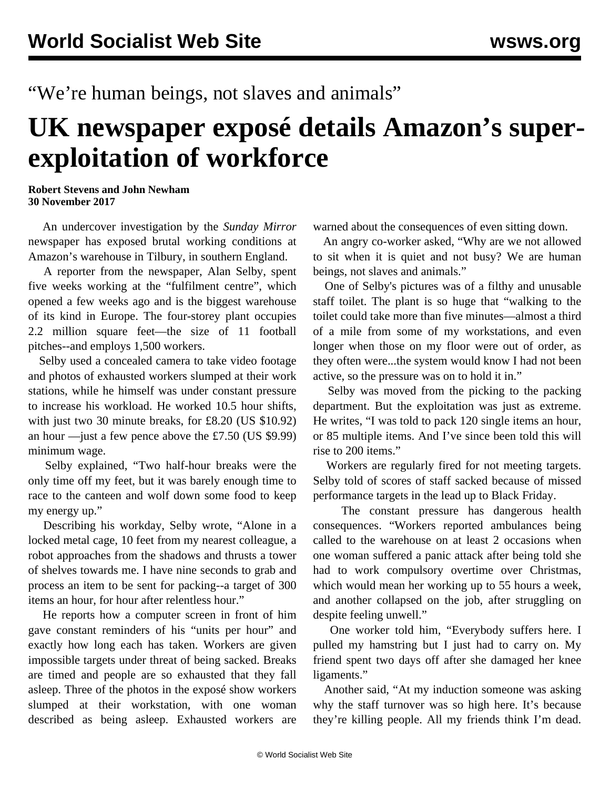## "We're human beings, not slaves and animals"

## **UK newspaper exposé details Amazon's superexploitation of workforce**

## **Robert Stevens and John Newham 30 November 2017**

 An undercover investigation by the *Sunday Mirror* newspaper has exposed brutal working conditions at Amazon's warehouse in Tilbury, in southern England.

 A reporter from the newspaper, Alan Selby, spent five weeks working at the "fulfilment centre", which opened a few weeks ago and is the biggest warehouse of its kind in Europe. The four-storey plant occupies 2.2 million square feet—the size of 11 football pitches--and employs 1,500 workers.

 Selby used a concealed camera to take [video](http://www.mirror.co.uk/news/uk-news/timed-toilet-breaks-impossible-targets-11587888) footage and photos of exhausted workers slumped at their work stations, while he himself was under constant pressure to increase his workload. He worked 10.5 hour shifts, with just two 30 minute breaks, for £8.20 (US \$10.92) an hour —just a few pence above the £7.50 (US \$9.99) minimum wage.

 Selby explained, "Two half-hour breaks were the only time off my feet, but it was barely enough time to race to the canteen and wolf down some food to keep my energy up."

 Describing his workday, Selby wrote, "Alone in a locked metal cage, 10 feet from my nearest colleague, a robot approaches from the shadows and thrusts a tower of shelves towards me. I have nine seconds to grab and process an item to be sent for packing--a target of 300 items an hour, for hour after relentless hour."

 He reports how a computer screen in front of him gave constant reminders of his "units per hour" and exactly how long each has taken. Workers are given impossible targets under threat of being sacked. Breaks are timed and people are so exhausted that they fall asleep. Three of the photos in the exposé show workers slumped at their workstation, with one woman described as being asleep. Exhausted workers are

warned about the consequences of even sitting down.

 An angry co-worker asked, "Why are we not allowed to sit when it is quiet and not busy? We are human beings, not slaves and animals."

 One of Selby's pictures was of a filthy and unusable staff toilet. The plant is so huge that "walking to the toilet could take more than five minutes—almost a third of a mile from some of my workstations, and even longer when those on my floor were out of order, as they often were...the system would know I had not been active, so the pressure was on to hold it in."

 Selby was moved from the picking to the packing department. But the exploitation was just as extreme. He writes, "I was told to pack 120 single items an hour, or 85 multiple items. And I've since been told this will rise to 200 items."

 Workers are regularly fired for not meeting targets. Selby told of scores of staff sacked because of missed performance targets in the lead up to Black Friday.

 The constant pressure has dangerous health consequences. "Workers reported ambulances being called to the warehouse on at least 2 occasions when one woman suffered a panic attack after being told she had to work compulsory overtime over Christmas, which would mean her working up to 55 hours a week, and another collapsed on the job, after struggling on despite feeling unwell."

 One worker told him, "Everybody suffers here. I pulled my hamstring but I just had to carry on. My friend spent two days off after she damaged her knee ligaments."

 Another said, "At my induction someone was asking why the staff turnover was so high here. It's because they're killing people. All my friends think I'm dead.